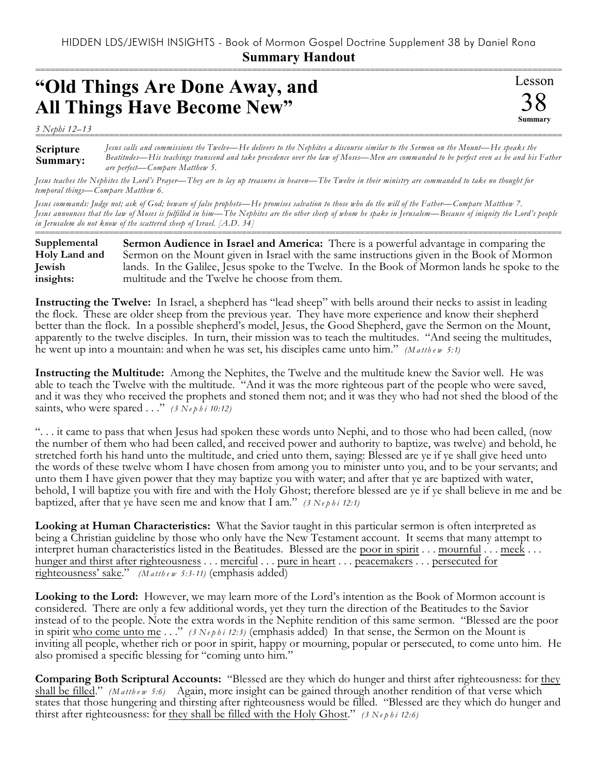===========================================================================================================

Lesson

38 **Summary**

## **"Old Things Are Done Away, and All Things Have Become New"**

*3 Nephi 12–13*

**Scripture Summary:** =========================================================================================================== *Jesus calls and commissions the Twelve—He delivers to the Nephites a discourse similar to the Sermon on the Mount—He speaks the Beatitudes—His teachings transcend and take precedence over the law of Moses—Men are commanded to be perfect even as he and his Father are perfect—Compare Matthew 5.* 

*Jesus teaches the Nephites the Lord's Prayer—They are to lay up treasures in heaven—The Twelve in their ministry are commanded to take no thought for temporal things—Compare Matthew 6.*

*Jesus commands: Judge not; ask of God; beware of false prophets—He promises salvation to those who do the will of the Father—Compare Matthew 7. Jesus announces that the law of Moses is fulfilled in him—The Nephites are the other sheep of whom he spake in Jerusalem—Because of iniquity the Lord's people in Jerusalem do not know of the scattered sheep of Israel. [A.D. 34]*

=========================================================================================================== **Sermon Audience in Israel and America:** There is a powerful advantage in comparing the Sermon on the Mount given in Israel with the same instructions given in the Book of Mormon lands. In the Galilee, Jesus spoke to the Twelve. In the Book of Mormon lands he spoke to the multitude and the Twelve he choose from them. **Supplemental Holy Land and Jewish insights:**

**Instructing the Twelve:** In Israel, a shepherd has "lead sheep" with bells around their necks to assist in leading the flock. These are older sheep from the previous year. They have more experience and know their shepherd better than the flock. In a possible shepherd's model, Jesus, the Good Shepherd, gave the Sermon on the Mount, apparently to the twelve disciples. In turn, their mission was to teach the multitudes. "And seeing the multitudes, he went up into a mountain: and when he was set, his disciples came unto him." *(M a tth e w 5:1)*

**Instructing the Multitude:** Among the Nephites, the Twelve and the multitude knew the Savior well. He was able to teach the Twelve with the multitude. "And it was the more righteous part of the people who were saved, and it was they who received the prophets and stoned them not; and it was they who had not shed the blood of the saints, who were spared . . ." *(3 Ne p h i 10:12)*

". . . it came to pass that when Jesus had spoken these words unto Nephi, and to those who had been called, (now the number of them who had been called, and received power and authority to baptize, was twelve) and behold, he stretched forth his hand unto the multitude, and cried unto them, saying: Blessed are ye if ye shall give heed unto the words of these twelve whom I have chosen from among you to minister unto you, and to be your servants; and unto them I have given power that they may baptize you with water; and after that ye are baptized with water, behold, I will baptize you with fire and with the Holy Ghost; therefore blessed are ye if ye shall believe in me and be baptized, after that ye have seen me and know that I am." *(3 Ne p h i 12:1)*

**Looking at Human Characteristics:** What the Savior taught in this particular sermon is often interpreted as being a Christian guideline by those who only have the New Testament account. It seems that many attempt to interpret human characteristics listed in the Beatitudes. Blessed are the poor in spirit . . . mournful . . . meek . . . hunger and thirst after righteousness . . . merciful . . . pure in heart . . . peacemakers . . . persecuted for righteousness' sake." *(M a tth e w 5:3-11)* (emphasis added)

**Looking to the Lord:** However, we may learn more of the Lord's intention as the Book of Mormon account is considered. There are only a few additional words, yet they turn the direction of the Beatitudes to the Savior instead of to the people. Note the extra words in the Nephite rendition of this same sermon. "Blessed are the poor in spirit who come unto me . . ." *(3 Nephi 12:3)* (emphasis added) In that sense, the Sermon on the Mount is inviting all people, whether rich or poor in spirit, happy or mourning, popular or persecuted, to come unto him. He also promised a specific blessing for "coming unto him."

**Comparing Both Scriptural Accounts:** "Blessed are they which do hunger and thirst after righteousness: for they shall be filled." *(Matthew 5:6)* Again, more insight can be gained through another rendition of that verse which states that those hungering and thirsting after righteousness would be filled. "Blessed are they which do hunger and thirst after righteousness: for they shall be filled with the Holy Ghost." *(3 Nephi 12:6)*